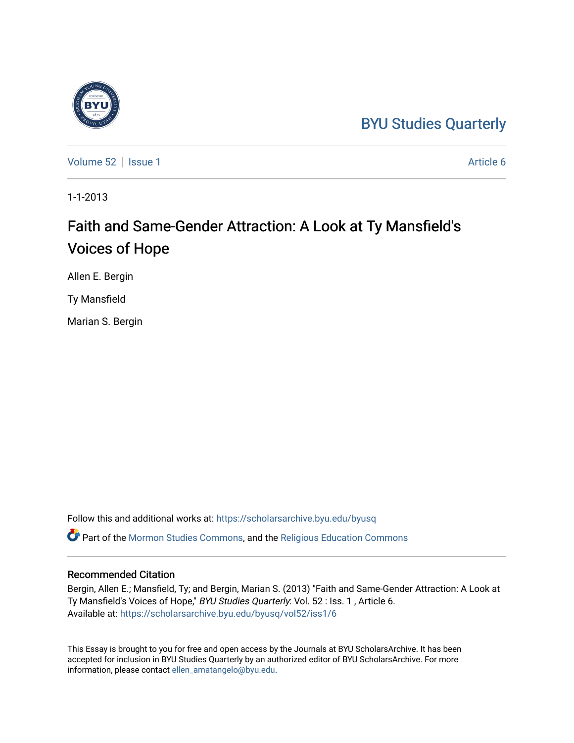### [BYU Studies Quarterly](https://scholarsarchive.byu.edu/byusq)

[Volume 52](https://scholarsarchive.byu.edu/byusq/vol52) | [Issue 1](https://scholarsarchive.byu.edu/byusq/vol52/iss1) Article 6

1-1-2013

# Faith and Same-Gender Attraction: A Look at Ty Mansfield's Voices of Hope

Allen E. Bergin

Ty Mansfield

Marian S. Bergin

Follow this and additional works at: [https://scholarsarchive.byu.edu/byusq](https://scholarsarchive.byu.edu/byusq?utm_source=scholarsarchive.byu.edu%2Fbyusq%2Fvol52%2Fiss1%2F6&utm_medium=PDF&utm_campaign=PDFCoverPages)  Part of the [Mormon Studies Commons](http://network.bepress.com/hgg/discipline/1360?utm_source=scholarsarchive.byu.edu%2Fbyusq%2Fvol52%2Fiss1%2F6&utm_medium=PDF&utm_campaign=PDFCoverPages), and the [Religious Education Commons](http://network.bepress.com/hgg/discipline/1414?utm_source=scholarsarchive.byu.edu%2Fbyusq%2Fvol52%2Fiss1%2F6&utm_medium=PDF&utm_campaign=PDFCoverPages) 

### Recommended Citation

Bergin, Allen E.; Mansfield, Ty; and Bergin, Marian S. (2013) "Faith and Same-Gender Attraction: A Look at Ty Mansfield's Voices of Hope," BYU Studies Quarterly: Vol. 52 : Iss. 1, Article 6. Available at: [https://scholarsarchive.byu.edu/byusq/vol52/iss1/6](https://scholarsarchive.byu.edu/byusq/vol52/iss1/6?utm_source=scholarsarchive.byu.edu%2Fbyusq%2Fvol52%2Fiss1%2F6&utm_medium=PDF&utm_campaign=PDFCoverPages)

This Essay is brought to you for free and open access by the Journals at BYU ScholarsArchive. It has been accepted for inclusion in BYU Studies Quarterly by an authorized editor of BYU ScholarsArchive. For more information, please contact [ellen\\_amatangelo@byu.edu.](mailto:ellen_amatangelo@byu.edu)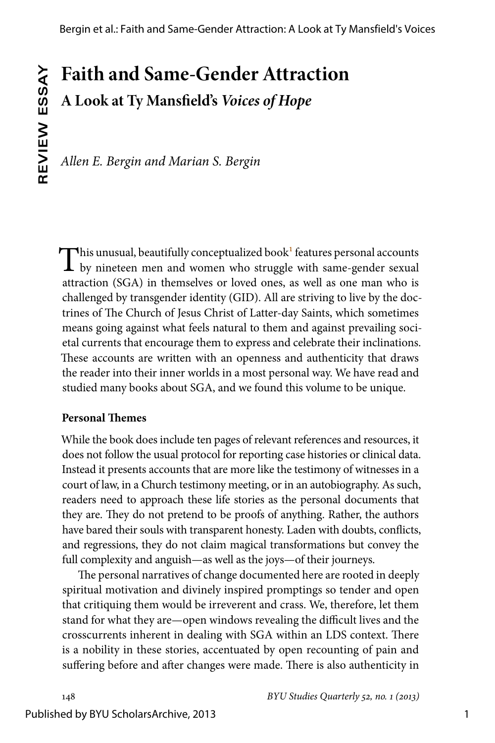## **Faith and Same-Gender Attraction A Look at Ty Mansfield's** *Voices of Hope*

*Allen E. Bergin and Marian S. Bergin*

<span id="page-1-0"></span>This unusual, beautifully conceptualized book<sup>1</sup> features personal accounts  $\perp$  by nineteen men and women who struggle with same-gender sexual attraction (SGA) in themselves or loved ones, as well as one man who is challenged by transgender identity (GID). All are striving to live by the doctrines of The Church of Jesus Christ of Latter-day Saints, which sometimes means going against what feels natural to them and against prevailing societal currents that encourage them to express and celebrate their inclinations. These accounts are written with an openness and authenticity that draws the reader into their inner worlds in a most personal way. We have read and studied many books about SGA, and we found this volume to be unique.

#### **Personal Themes**

While the book does include ten pages of relevant references and resources, it does not follow the usual protocol for reporting case histories or clinical data. Instead it presents accounts that are more like the testimony of witnesses in a court of law, in a Church testimony meeting, or in an autobiography. As such, readers need to approach these life stories as the personal documents that they are. They do not pretend to be proofs of anything. Rather, the authors have bared their souls with transparent honesty. Laden with doubts, conflicts, and regressions, they do not claim magical transformations but convey the full complexity and anguish—as well as the joys—of their journeys.

The personal narratives of change documented here are rooted in deeply spiritual motivation and divinely inspired promptings so tender and open that critiquing them would be irreverent and crass. We, therefore, let them stand for what they are—open windows revealing the difficult lives and the crosscurrents inherent in dealing with SGA within an LDS context. There is a nobility in these stories, accentuated by open recounting of pain and suffering before and after changes were made. There is also authenticity in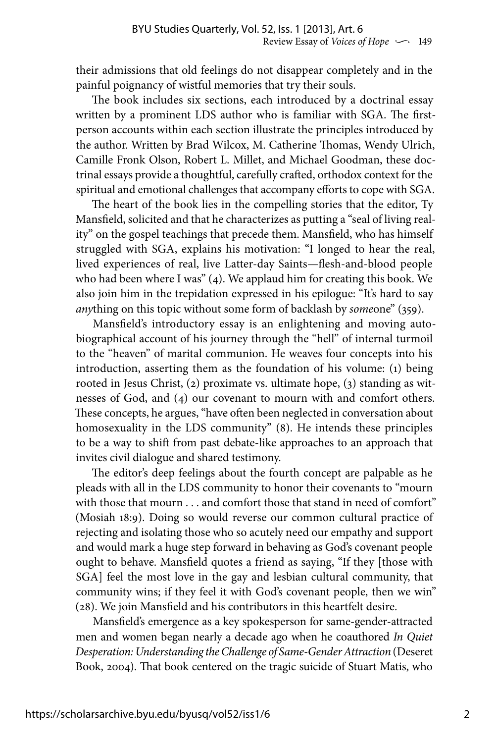their admissions that old feelings do not disappear completely and in the painful poignancy of wistful memories that try their souls.

The book includes six sections, each introduced by a doctrinal essay written by a prominent LDS author who is familiar with SGA. The firstperson accounts within each section illustrate the principles introduced by the author. Written by Brad Wilcox, M. Catherine Thomas, Wendy Ulrich, Camille Fronk Olson, Robert L. Millet, and Michael Goodman, these doctrinal essays provide a thoughtful, carefully crafted, orthodox context for the spiritual and emotional challenges that accompany efforts to cope with SGA.

The heart of the book lies in the compelling stories that the editor, Ty Mansfield, solicited and that he characterizes as putting a "seal of living reality" on the gospel teachings that precede them. Mansfield, who has himself struggled with SGA, explains his motivation: "I longed to hear the real, lived experiences of real, live Latter-day Saints—flesh-and-blood people who had been where I was" (4). We applaud him for creating this book. We also join him in the trepidation expressed in his epilogue: "It's hard to say *any*thing on this topic without some form of backlash by *some*one" (359).

Mansfield's introductory essay is an enlightening and moving autobiographical account of his journey through the "hell" of internal turmoil to the "heaven" of marital communion. He weaves four concepts into his introduction, asserting them as the foundation of his volume: (1) being rooted in Jesus Christ, (2) proximate vs. ultimate hope, (3) standing as witnesses of God, and (4) our covenant to mourn with and comfort others. These concepts, he argues, "have often been neglected in conversation about homosexuality in the LDS community" (8). He intends these principles to be a way to shift from past debate-like approaches to an approach that invites civil dialogue and shared testimony.

The editor's deep feelings about the fourth concept are palpable as he pleads with all in the LDS community to honor their covenants to "mourn with those that mourn . . . and comfort those that stand in need of comfort" (Mosiah 18:9). Doing so would reverse our common cultural practice of rejecting and isolating those who so acutely need our empathy and support and would mark a huge step forward in behaving as God's covenant people ought to behave. Mansfield quotes a friend as saying, "If they [those with SGA] feel the most love in the gay and lesbian cultural community, that community wins; if they feel it with God's covenant people, then we win" (28). We join Mansfield and his contributors in this heartfelt desire.

Mansfield's emergence as a key spokesperson for same-gender-attracted men and women began nearly a decade ago when he coauthored *In Quiet Desperation: Understanding the Challenge of Same-Gender Attraction* (Deseret Book, 2004). That book centered on the tragic suicide of Stuart Matis, who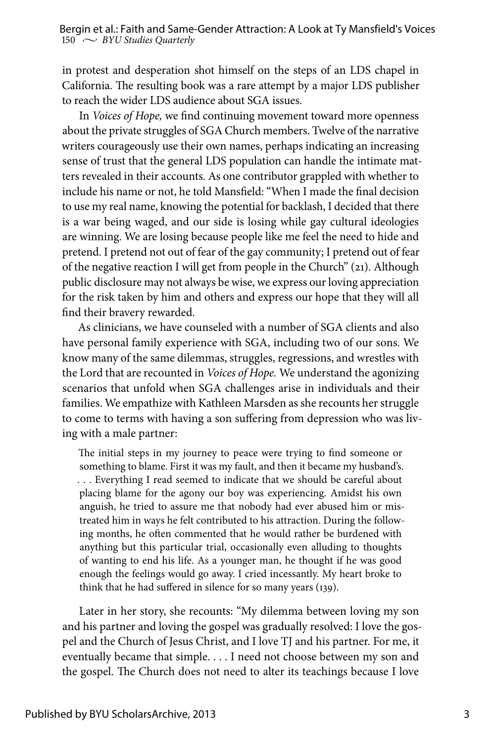in protest and desperation shot himself on the steps of an LDS chapel in California. The resulting book was a rare attempt by a major LDS publisher to reach the wider LDS audience about SGA issues.

In *Voices of Hope,* we find continuing movement toward more openness about the private struggles of SGA Church members. Twelve of the narrative writers courageously use their own names, perhaps indicating an increasing sense of trust that the general LDS population can handle the intimate matters revealed in their accounts. As one contributor grappled with whether to include his name or not, he told Mansfield: "When I made the final decision to use my real name, knowing the potential for backlash, I decided that there is a war being waged, and our side is losing while gay cultural ideologies are winning. We are losing because people like me feel the need to hide and pretend. I pretend not out of fear of the gay community; I pretend out of fear of the negative reaction I will get from people in the Church" (21). Although public disclosure may not always be wise, we express our loving appreciation for the risk taken by him and others and express our hope that they will all find their bravery rewarded.

As clinicians, we have counseled with a number of SGA clients and also have personal family experience with SGA, including two of our sons. We know many of the same dilemmas, struggles, regressions, and wrestles with the Lord that are recounted in *Voices of Hope.* We understand the agonizing scenarios that unfold when SGA challenges arise in individuals and their families. We empathize with Kathleen Marsden as she recounts her struggle to come to terms with having a son suffering from depression who was living with a male partner:

The initial steps in my journey to peace were trying to find someone or something to blame. First it was my fault, and then it became my husband's. . . . Everything I read seemed to indicate that we should be careful about placing blame for the agony our boy was experiencing. Amidst his own anguish, he tried to assure me that nobody had ever abused him or mistreated him in ways he felt contributed to his attraction. During the following months, he often commented that he would rather be burdened with anything but this particular trial, occasionally even alluding to thoughts of wanting to end his life. As a younger man, he thought if he was good enough the feelings would go away. I cried incessantly. My heart broke to think that he had suffered in silence for so many years (139).

Later in her story, she recounts: "My dilemma between loving my son and his partner and loving the gospel was gradually resolved: I love the gospel and the Church of Jesus Christ, and I love TJ and his partner. For me, it eventually became that simple. . . . I need not choose between my son and the gospel. The Church does not need to alter its teachings because I love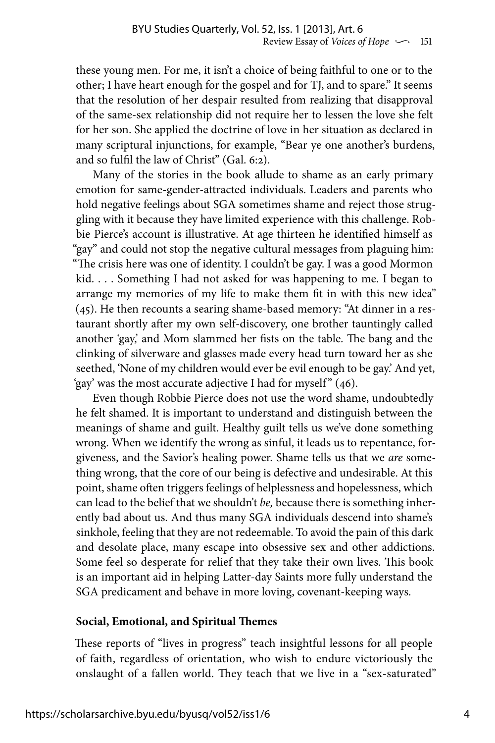these young men. For me, it isn't a choice of being faithful to one or to the other; I have heart enough for the gospel and for TJ, and to spare." It seems that the resolution of her despair resulted from realizing that disapproval of the same-sex relationship did not require her to lessen the love she felt for her son. She applied the doctrine of love in her situation as declared in many scriptural injunctions, for example, "Bear ye one another's burdens, and so fulfil the law of Christ" (Gal. 6:2).

Many of the stories in the book allude to shame as an early primary emotion for same-gender-attracted individuals. Leaders and parents who hold negative feelings about SGA sometimes shame and reject those struggling with it because they have limited experience with this challenge. Robbie Pierce's account is illustrative. At age thirteen he identified himself as "gay" and could not stop the negative cultural messages from plaguing him: "The crisis here was one of identity. I couldn't be gay. I was a good Mormon kid. . . . Something I had not asked for was happening to me. I began to arrange my memories of my life to make them fit in with this new idea" (45). He then recounts a searing shame-based memory: "At dinner in a restaurant shortly after my own self-discovery, one brother tauntingly called another 'gay,' and Mom slammed her fists on the table. The bang and the clinking of silverware and glasses made every head turn toward her as she seethed, 'None of my children would ever be evil enough to be gay.' And yet, 'gay' was the most accurate adjective I had for myself " (46).

Even though Robbie Pierce does not use the word shame, undoubtedly he felt shamed. It is important to understand and distinguish between the meanings of shame and guilt. Healthy guilt tells us we've done something wrong. When we identify the wrong as sinful, it leads us to repentance, forgiveness, and the Savior's healing power. Shame tells us that we *are* something wrong, that the core of our being is defective and undesirable. At this point, shame often triggers feelings of helplessness and hopelessness, which can lead to the belief that we shouldn't *be,* because there is something inherently bad about us. And thus many SGA individuals descend into shame's sinkhole, feeling that they are not redeemable. To avoid the pain of this dark and desolate place, many escape into obsessive sex and other addictions. Some feel so desperate for relief that they take their own lives. This book is an important aid in helping Latter-day Saints more fully understand the SGA predicament and behave in more loving, covenant-keeping ways.

#### **Social, Emotional, and Spiritual Themes**

These reports of "lives in progress" teach insightful lessons for all people of faith, regardless of orientation, who wish to endure victoriously the onslaught of a fallen world. They teach that we live in a "sex-saturated"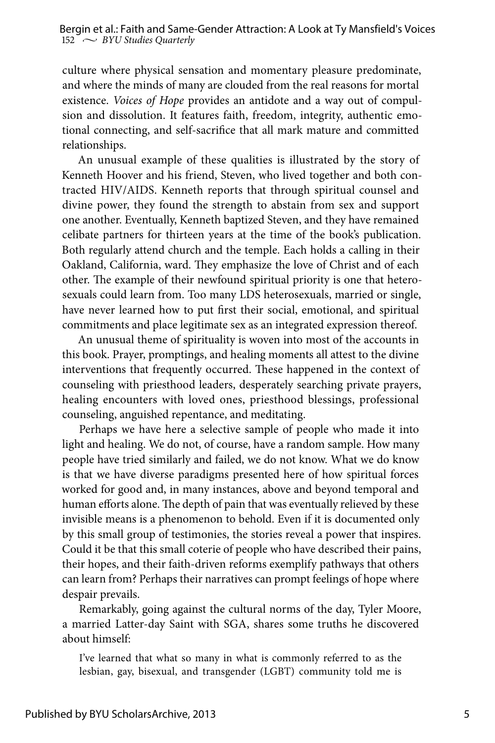culture where physical sensation and momentary pleasure predominate, and where the minds of many are clouded from the real reasons for mortal existence. *Voices of Hope* provides an antidote and a way out of compulsion and dissolution. It features faith, freedom, integrity, authentic emotional connecting, and self-sacrifice that all mark mature and committed relationships.

An unusual example of these qualities is illustrated by the story of Kenneth Hoover and his friend, Steven, who lived together and both contracted HIV/AIDS. Kenneth reports that through spiritual counsel and divine power, they found the strength to abstain from sex and support one another. Eventually, Kenneth baptized Steven, and they have remained celibate partners for thirteen years at the time of the book's publication. Both regularly attend church and the temple. Each holds a calling in their Oakland, California, ward. They emphasize the love of Christ and of each other. The example of their newfound spiritual priority is one that heterosexuals could learn from. Too many LDS heterosexuals, married or single, have never learned how to put first their social, emotional, and spiritual commitments and place legitimate sex as an integrated expression thereof.

An unusual theme of spirituality is woven into most of the accounts in this book. Prayer, promptings, and healing moments all attest to the divine interventions that frequently occurred. These happened in the context of counseling with priesthood leaders, desperately searching private prayers, healing encounters with loved ones, priesthood blessings, professional counseling, anguished repentance, and meditating.

Perhaps we have here a selective sample of people who made it into light and healing. We do not, of course, have a random sample. How many people have tried similarly and failed, we do not know. What we do know is that we have diverse paradigms presented here of how spiritual forces worked for good and, in many instances, above and beyond temporal and human efforts alone. The depth of pain that was eventually relieved by these invisible means is a phenomenon to behold. Even if it is documented only by this small group of testimonies, the stories reveal a power that inspires. Could it be that this small coterie of people who have described their pains, their hopes, and their faith-driven reforms exemplify pathways that others can learn from? Perhaps their narratives can prompt feelings of hope where despair prevails.

Remarkably, going against the cultural norms of the day, Tyler Moore, a married Latter-day Saint with SGA, shares some truths he discovered about himself:

I've learned that what so many in what is commonly referred to as the lesbian, gay, bisexual, and transgender (LGBT) community told me is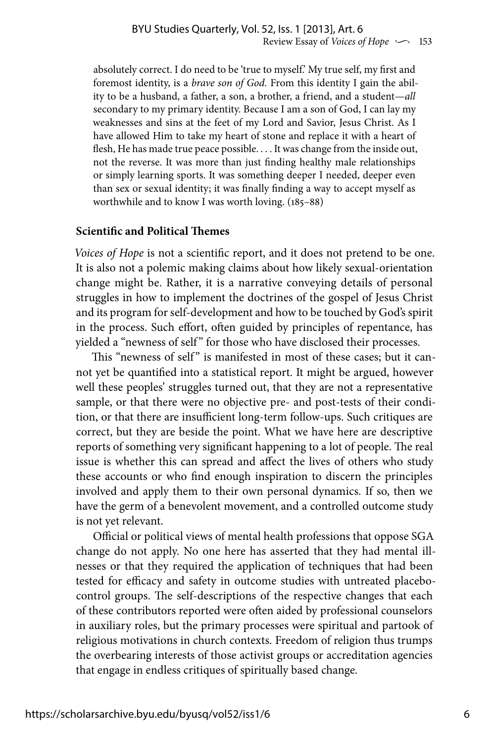absolutely correct. I do need to be 'true to myself.' My true self, my first and foremost identity, is a *brave son of God.* From this identity I gain the ability to be a husband, a father, a son, a brother, a friend, and a student—*all*  secondary to my primary identity. Because I am a son of God, I can lay my weaknesses and sins at the feet of my Lord and Savior, Jesus Christ. As I have allowed Him to take my heart of stone and replace it with a heart of flesh, He has made true peace possible. . . . It was change from the inside out, not the reverse. It was more than just finding healthy male relationships or simply learning sports. It was something deeper I needed, deeper even than sex or sexual identity; it was finally finding a way to accept myself as worthwhile and to know I was worth loving. (185–88)

#### **Scientific and Political Themes**

*Voices of Hope* is not a scientific report, and it does not pretend to be one. It is also not a polemic making claims about how likely sexual-orientation change might be. Rather, it is a narrative conveying details of personal struggles in how to implement the doctrines of the gospel of Jesus Christ and its program for self-development and how to be touched by God's spirit in the process. Such effort, often guided by principles of repentance, has yielded a "newness of self" for those who have disclosed their processes.

This "newness of self" is manifested in most of these cases; but it cannot yet be quantified into a statistical report. It might be argued, however well these peoples' struggles turned out, that they are not a representative sample, or that there were no objective pre- and post-tests of their condition, or that there are insufficient long-term follow-ups. Such critiques are correct, but they are beside the point. What we have here are descriptive reports of something very significant happening to a lot of people. The real issue is whether this can spread and affect the lives of others who study these accounts or who find enough inspiration to discern the principles involved and apply them to their own personal dynamics. If so, then we have the germ of a benevolent movement, and a controlled outcome study is not yet relevant.

Official or political views of mental health professions that oppose SGA change do not apply. No one here has asserted that they had mental illnesses or that they required the application of techniques that had been tested for efficacy and safety in outcome studies with untreated placebocontrol groups. The self-descriptions of the respective changes that each of these contributors reported were often aided by professional counselors in auxiliary roles, but the primary processes were spiritual and partook of religious motivations in church contexts. Freedom of religion thus trumps the overbearing interests of those activist groups or accreditation agencies that engage in endless critiques of spiritually based change.